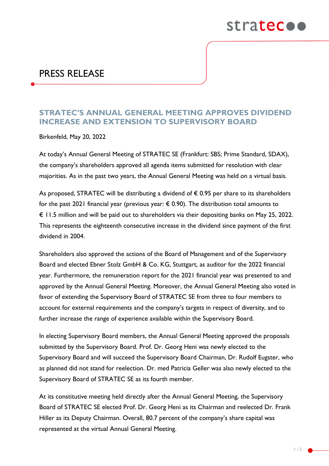

## PRESS RELEASE

## **STRATEC'S ANNUAL GENERAL MEETING APPROVES DIVIDEND INCREASE AND EXTENSION TO SUPERVISORY BOARD**

Birkenfeld, May 20, 2022

At today's Annual General Meeting of STRATEC SE (Frankfurt: SBS; Prime Standard, SDAX), the company's shareholders approved all agenda items submitted for resolution with clear majorities. As in the past two years, the Annual General Meeting was held on a virtual basis.

As proposed, STRATEC will be distributing a dividend of  $\epsilon$  0.95 per share to its shareholders for the past 2021 financial year (previous year:  $\epsilon$  0.90). The distribution total amounts to € 11.5 million and will be paid out to shareholders via their depositing banks on May 25, 2022. This represents the eighteenth consecutive increase in the dividend since payment of the first dividend in 2004.

Shareholders also approved the actions of the Board of Management and of the Supervisory Board and elected Ebner Stolz GmbH & Co. KG, Stuttgart, as auditor for the 2022 financial year. Furthermore, the remuneration report for the 2021 financial year was presented to and approved by the Annual General Meeting. Moreover, the Annual General Meeting also voted in favor of extending the Supervisory Board of STRATEC SE from three to four members to account for external requirements and the company's targets in respect of diversity, and to further increase the range of experience available within the Supervisory Board.

In electing Supervisory Board members, the Annual General Meeting approved the proposals submitted by the Supervisory Board. Prof. Dr. Georg Heni was newly elected to the Supervisory Board and will succeed the Supervisory Board Chairman, Dr. Rudolf Eugster, who as planned did not stand for reelection. Dr. med Patricia Geller was also newly elected to the Supervisory Board of STRATEC SE as its fourth member.

At its constitutive meeting held directly after the Annual General Meeting, the Supervisory Board of STRATEC SE elected Prof. Dr. Georg Heni as its Chairman and reelected Dr. Frank Hiller as its Deputy Chairman. Overall, 80.7 percent of the company's share capital was represented at the virtual Annual General Meeting.